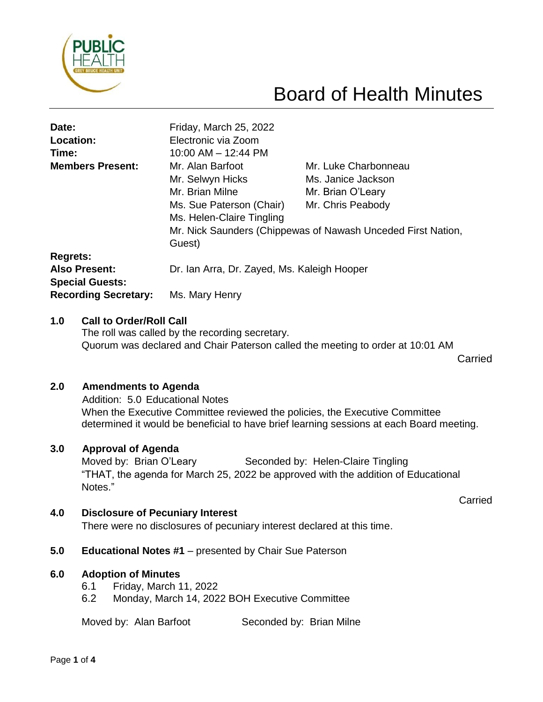

# Board of Health Minutes

| Date:                                          | Friday, March 25, 2022                                                 |                      |
|------------------------------------------------|------------------------------------------------------------------------|----------------------|
| Location:                                      | Electronic via Zoom                                                    |                      |
| Time:                                          | 10:00 AM - 12:44 PM                                                    |                      |
| <b>Members Present:</b>                        | Mr. Alan Barfoot                                                       | Mr. Luke Charbonneau |
|                                                | Mr. Selwyn Hicks                                                       | Ms. Janice Jackson   |
|                                                | Mr. Brian Milne                                                        | Mr. Brian O'Leary    |
|                                                | Ms. Sue Paterson (Chair)                                               | Mr. Chris Peabody    |
|                                                | Ms. Helen-Claire Tingling                                              |                      |
|                                                | Mr. Nick Saunders (Chippewas of Nawash Unceded First Nation,<br>Guest) |                      |
| <b>Regrets:</b>                                |                                                                        |                      |
| <b>Also Present:</b><br><b>Special Guests:</b> | Dr. Ian Arra, Dr. Zayed, Ms. Kaleigh Hooper                            |                      |
| <b>Recording Secretary:</b>                    | Ms. Mary Henry                                                         |                      |

#### **1.0 Call to Order/Roll Call**

The roll was called by the recording secretary. Quorum was declared and Chair Paterson called the meeting to order at 10:01 AM

**Carried** 

#### **2.0 Amendments to Agenda**

Addition: 5.0 Educational Notes When the Executive Committee reviewed the policies, the Executive Committee determined it would be beneficial to have brief learning sessions at each Board meeting.

#### **3.0 Approval of Agenda**

Moved by: Brian O'Leary Seconded by: Helen-Claire Tingling "THAT, the agenda for March 25, 2022 be approved with the addition of Educational Notes."

**Carried** 

**4.0 Disclosure of Pecuniary Interest**

There were no disclosures of pecuniary interest declared at this time.

**5.0 Educational Notes #1** – presented by Chair Sue Paterson

#### **6.0 Adoption of Minutes**

- 6.1 Friday, March 11, 2022
- 6.2 Monday, March 14, 2022 BOH Executive Committee

Moved by: Alan Barfoot Seconded by: Brian Milne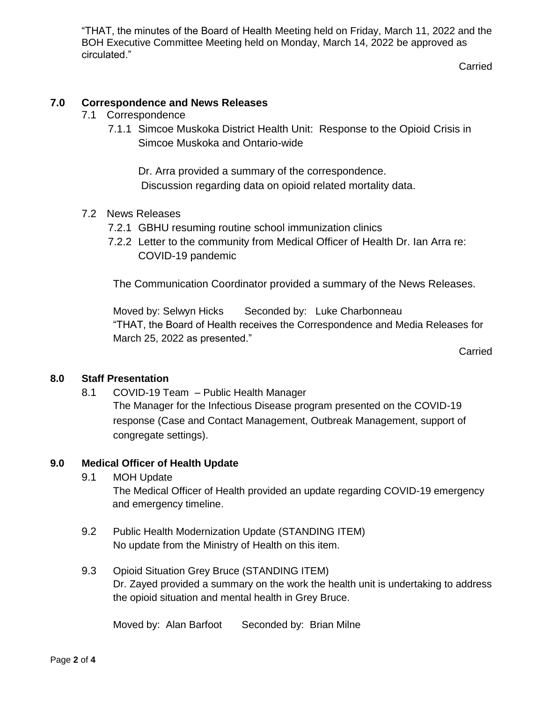"THAT, the minutes of the Board of Health Meeting held on Friday, March 11, 2022 and the BOH Executive Committee Meeting held on Monday, March 14, 2022 be approved as circulated."

**Carried** 

## **7.0 Correspondence and News Releases**

- 7.1 Correspondence
	- 7.1.1 Simcoe Muskoka District Health Unit: Response to the Opioid Crisis in Simcoe Muskoka and Ontario-wide

Dr. Arra provided a summary of the correspondence. Discussion regarding data on opioid related mortality data.

## 7.2 News Releases

- 7.2.1 GBHU resuming routine school immunization clinics
- 7.2.2 Letter to the community from Medical Officer of Health Dr. Ian Arra re: COVID-19 pandemic

The Communication Coordinator provided a summary of the News Releases.

Moved by: Selwyn Hicks Seconded by: Luke Charbonneau "THAT, the Board of Health receives the Correspondence and Media Releases for March 25, 2022 as presented."

Carried

## **8.0 Staff Presentation**

8.1 COVID-19 Team – Public Health Manager The Manager for the Infectious Disease program presented on the COVID-19 response (Case and Contact Management, Outbreak Management, support of congregate settings).

## **9.0 Medical Officer of Health Update**

9.1 MOH Update

The Medical Officer of Health provided an update regarding COVID-19 emergency and emergency timeline.

- 9.2 Public Health Modernization Update (STANDING ITEM) No update from the Ministry of Health on this item.
- 9.3 Opioid Situation Grey Bruce (STANDING ITEM) Dr. Zayed provided a summary on the work the health unit is undertaking to address the opioid situation and mental health in Grey Bruce.

Moved by: Alan Barfoot Seconded by: Brian Milne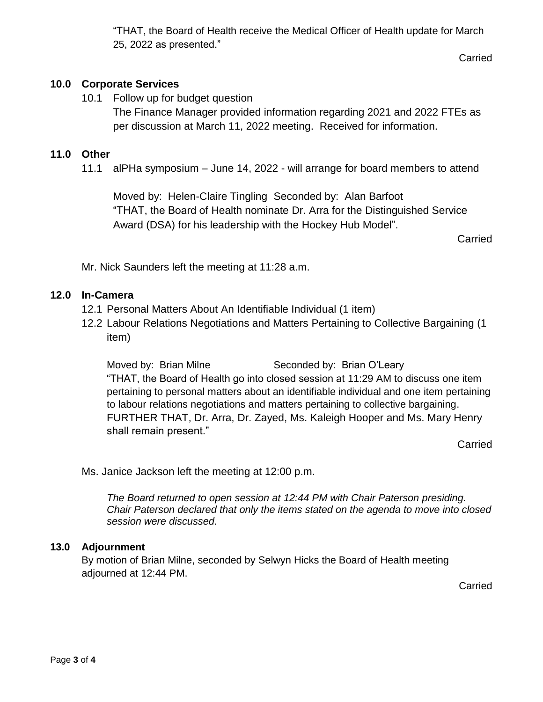"THAT, the Board of Health receive the Medical Officer of Health update for March 25, 2022 as presented."

Carried

## **10.0 Corporate Services**

10.1 Follow up for budget question

The Finance Manager provided information regarding 2021 and 2022 FTEs as per discussion at March 11, 2022 meeting. Received for information.

## **11.0 Other**

11.1 alPHa symposium – June 14, 2022 - will arrange for board members to attend

Moved by: Helen-Claire Tingling Seconded by: Alan Barfoot "THAT, the Board of Health nominate Dr. Arra for the Distinguished Service Award (DSA) for his leadership with the Hockey Hub Model".

Carried

Mr. Nick Saunders left the meeting at 11:28 a.m.

## **12.0 In-Camera**

- 12.1 Personal Matters About An Identifiable Individual (1 item)
- 12.2 Labour Relations Negotiations and Matters Pertaining to Collective Bargaining (1 item)

Moved by: Brian Milne Seconded by: Brian O'Leary "THAT, the Board of Health go into closed session at 11:29 AM to discuss one item pertaining to personal matters about an identifiable individual and one item pertaining to labour relations negotiations and matters pertaining to collective bargaining. FURTHER THAT, Dr. Arra, Dr. Zayed, Ms. Kaleigh Hooper and Ms. Mary Henry shall remain present."

Carried

Ms. Janice Jackson left the meeting at 12:00 p.m.

*The Board returned to open session at 12:44 PM with Chair Paterson presiding. Chair Paterson declared that only the items stated on the agenda to move into closed session were discussed.*

#### **13.0 Adjournment**

By motion of Brian Milne, seconded by Selwyn Hicks the Board of Health meeting adjourned at 12:44 PM.

Carried